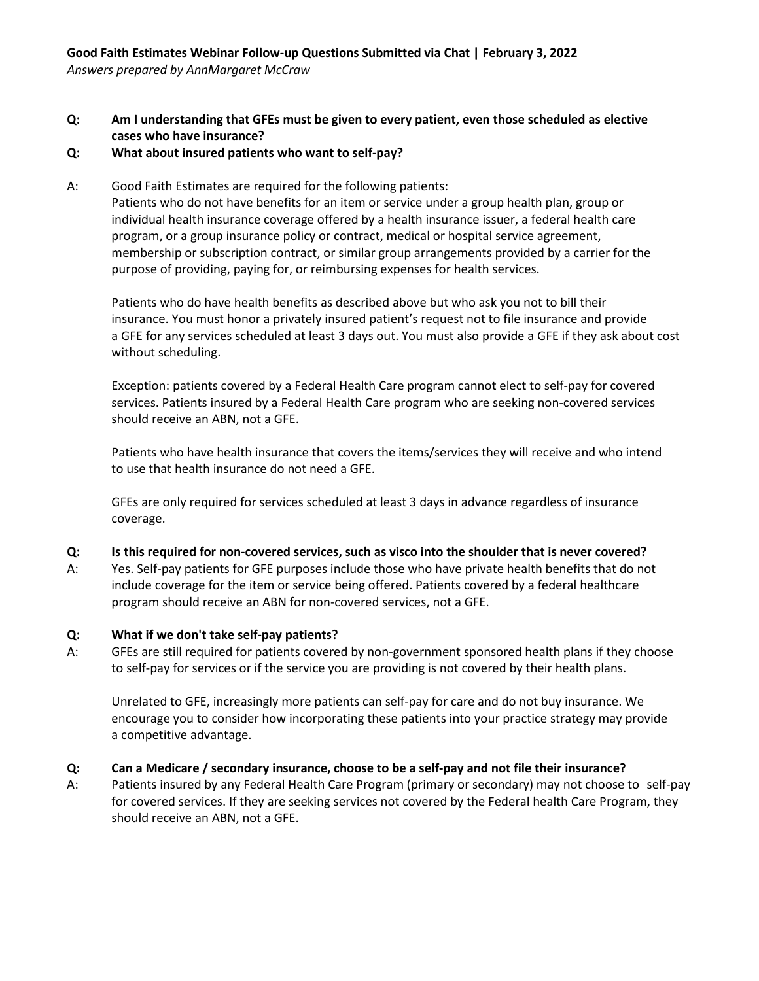**Q: Am I understanding that GFEs must be given to every patient, even those scheduled as elective cases who have insurance?** 

### **Q: What about insured patients who want to self-pay?**

A: Good Faith Estimates are required for the following patients:

Patients who do not have benefits for an item or service under a group health plan, group or individual health insurance coverage offered by a health insurance issuer, a federal health care program, or a group insurance policy or contract, medical or hospital service agreement, membership or subscription contract, or similar group arrangements provided by a carrier for the purpose of providing, paying for, or reimbursing expenses for health services.

Patients who do have health benefits as described above but who ask you not to bill their insurance. You must honor a privately insured patient's request not to file insurance and provide a GFE for any services scheduled at least 3 days out. You must also provide a GFE if they ask about cost without scheduling.

Exception: patients covered by a Federal Health Care program cannot elect to self-pay for covered services. Patients insured by a Federal Health Care program who are seeking non-covered services should receive an ABN, not a GFE.

Patients who have health insurance that covers the items/services they will receive and who intend to use that health insurance do not need a GFE.

GFEs are only required for services scheduled at least 3 days in advance regardless of insurance coverage.

#### **Q: Is this required for non-covered services, such as visco into the shoulder that is never covered?**

A: Yes. Self-pay patients for GFE purposes include those who have private health benefits that do not include coverage for the item or service being offered. Patients covered by a federal healthcare program should receive an ABN for non-covered services, not a GFE.

#### **Q: What if we don't take self-pay patients?**

A: GFEs are still required for patients covered by non-government sponsored health plans if they choose to self-pay for services or if the service you are providing is not covered by their health plans.

Unrelated to GFE, increasingly more patients can self-pay for care and do not buy insurance. We encourage you to consider how incorporating these patients into your practice strategy may provide a competitive advantage.

# **Q: Can a Medicare / secondary insurance, choose to be a self-pay and not file their insurance?**

A: Patients insured by any Federal Health Care Program (primary or secondary) may not choose to self-pay for covered services. If they are seeking services not covered by the Federal health Care Program, they should receive an ABN, not a GFE.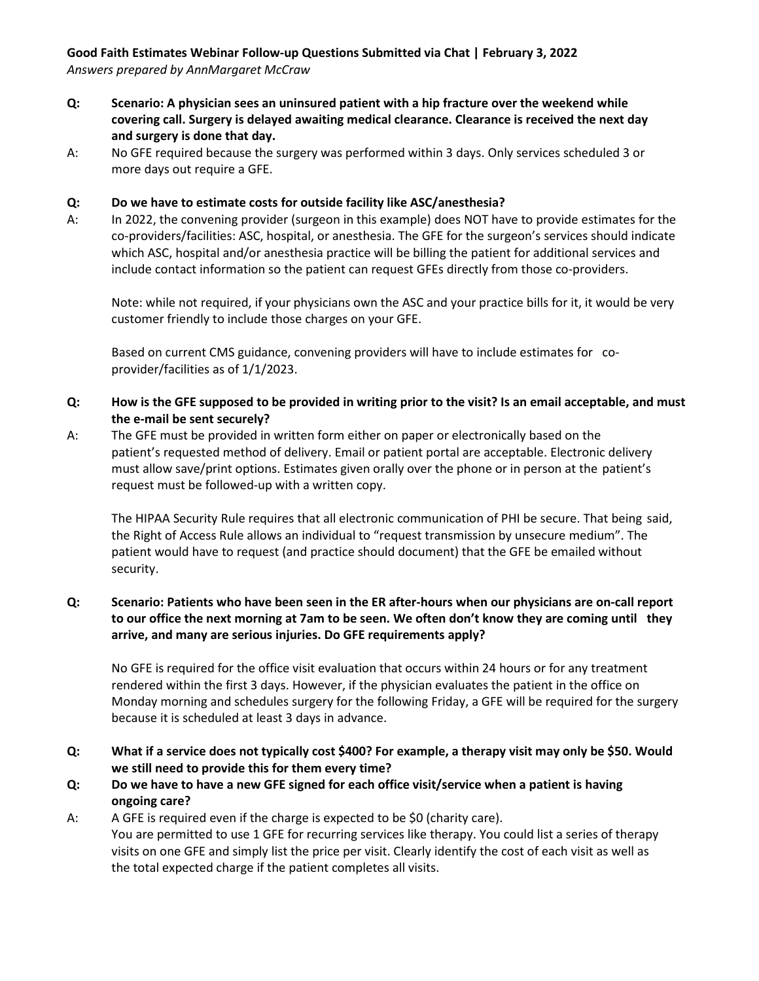#### **Good Faith Estimates Webinar Follow-up Questions Submitted via Chat | February 3, 2022** *Answers prepared by AnnMargaret McCraw*

- **Q: Scenario: A physician sees an uninsured patient with a hip fracture over the weekend while covering call. Surgery is delayed awaiting medical clearance. Clearance is received the next day and surgery is done that day.**
- A: No GFE required because the surgery was performed within 3 days. Only services scheduled 3 or more days out require a GFE.

### **Q: Do we have to estimate costs for outside facility like ASC/anesthesia?**

A: In 2022, the convening provider (surgeon in this example) does NOT have to provide estimates for the co-providers/facilities: ASC, hospital, or anesthesia. The GFE for the surgeon's services should indicate which ASC, hospital and/or anesthesia practice will be billing the patient for additional services and include contact information so the patient can request GFEs directly from those co-providers.

Note: while not required, if your physicians own the ASC and your practice bills for it, it would be very customer friendly to include those charges on your GFE.

Based on current CMS guidance, convening providers will have to include estimates for coprovider/facilities as of 1/1/2023.

- **Q: How is the GFE supposed to be provided in writing prior to the visit? Is an email acceptable, and must the e-mail be sent securely?**
- A: The GFE must be provided in written form either on paper or electronically based on the patient's requested method of delivery. Email or patient portal are acceptable. Electronic delivery must allow save/print options. Estimates given orally over the phone or in person at the patient's request must be followed-up with a written copy.

The HIPAA Security Rule requires that all electronic communication of PHI be secure. That being said, the Right of Access Rule allows an individual to "request transmission by unsecure medium". The patient would have to request (and practice should document) that the GFE be emailed without security.

## **Q: Scenario: Patients who have been seen in the ER after-hours when our physicians are on-call report to our office the next morning at 7am to be seen. We often don't know they are coming until they arrive, and many are serious injuries. Do GFE requirements apply?**

No GFE is required for the office visit evaluation that occurs within 24 hours or for any treatment rendered within the first 3 days. However, if the physician evaluates the patient in the office on Monday morning and schedules surgery for the following Friday, a GFE will be required for the surgery because it is scheduled at least 3 days in advance.

- **Q: What if a service does not typically cost \$400? For example, a therapy visit may only be \$50. Would we still need to provide this for them every time?**
- **Q: Do we have to have a new GFE signed for each office visit/service when a patient is having ongoing care?**
- A: A GFE is required even if the charge is expected to be \$0 (charity care). You are permitted to use 1 GFE for recurring services like therapy. You could list a series of therapy visits on one GFE and simply list the price per visit. Clearly identify the cost of each visit as well as the total expected charge if the patient completes all visits.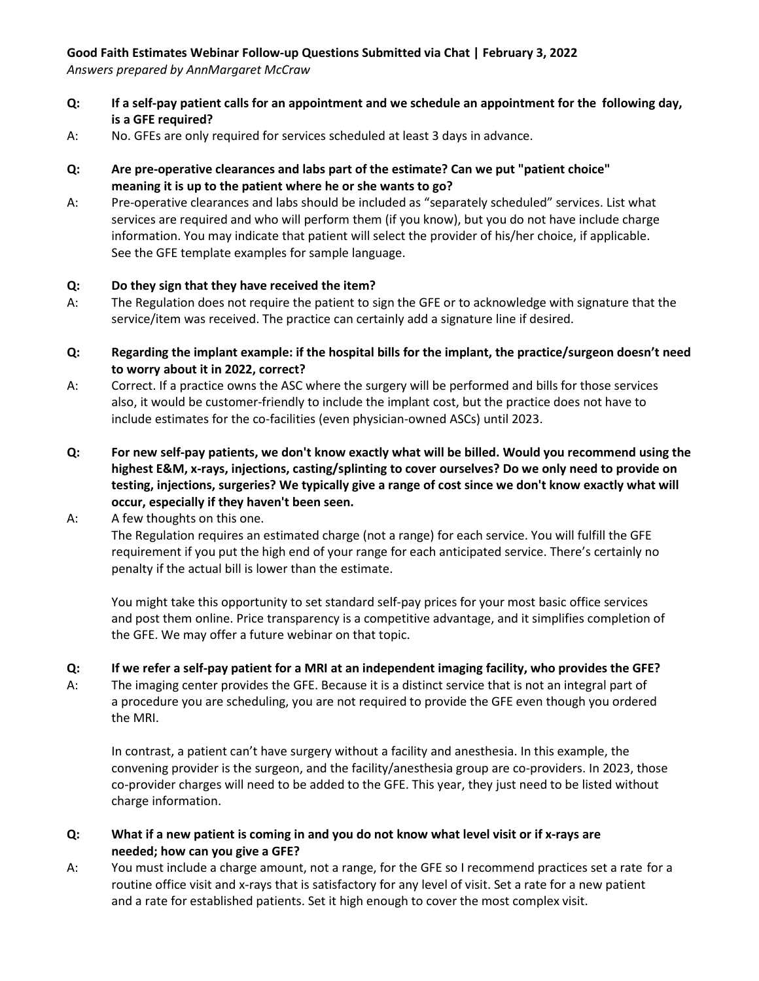# **Good Faith Estimates Webinar Follow-up Questions Submitted via Chat | February 3, 2022**

*Answers prepared by AnnMargaret McCraw* 

- **Q: If a self-pay patient calls for an appointment and we schedule an appointment for the following day, is a GFE required?**
- A: No. GFEs are only required for services scheduled at least 3 days in advance.
- **Q: Are pre-operative clearances and labs part of the estimate? Can we put "patient choice" meaning it is up to the patient where he or she wants to go?**
- A: Pre-operative clearances and labs should be included as "separately scheduled" services. List what services are required and who will perform them (if you know), but you do not have include charge information. You may indicate that patient will select the provider of his/her choice, if applicable. See the GFE template examples for sample language.

## **Q: Do they sign that they have received the item?**

- A: The Regulation does not require the patient to sign the GFE or to acknowledge with signature that the service/item was received. The practice can certainly add a signature line if desired.
- **Q: Regarding the implant example: if the hospital bills for the implant, the practice/surgeon doesn't need to worry about it in 2022, correct?**
- A: Correct. If a practice owns the ASC where the surgery will be performed and bills for those services also, it would be customer-friendly to include the implant cost, but the practice does not have to include estimates for the co-facilities (even physician-owned ASCs) until 2023.
- **Q: For new self-pay patients, we don't know exactly what will be billed. Would you recommend using the highest E&M, x-rays, injections, casting/splinting to cover ourselves? Do we only need to provide on testing, injections, surgeries? We typically give a range of cost since we don't know exactly what will occur, especially if they haven't been seen.**
- A: A few thoughts on this one.

The Regulation requires an estimated charge (not a range) for each service. You will fulfill the GFE requirement if you put the high end of your range for each anticipated service. There's certainly no penalty if the actual bill is lower than the estimate.

You might take this opportunity to set standard self-pay prices for your most basic office services and post them online. Price transparency is a competitive advantage, and it simplifies completion of the GFE. We may offer a future webinar on that topic.

# **Q: If we refer a self-pay patient for a MRI at an independent imaging facility, who provides the GFE?**

A: The imaging center provides the GFE. Because it is a distinct service that is not an integral part of a procedure you are scheduling, you are not required to provide the GFE even though you ordered the MRI.

In contrast, a patient can't have surgery without a facility and anesthesia. In this example, the convening provider is the surgeon, and the facility/anesthesia group are co-providers. In 2023, those co-provider charges will need to be added to the GFE. This year, they just need to be listed without charge information.

# **Q: What if a new patient is coming in and you do not know what level visit or if x-rays are needed; how can you give a GFE?**

A: You must include a charge amount, not a range, for the GFE so I recommend practices set a rate for a routine office visit and x-rays that is satisfactory for any level of visit. Set a rate for a new patient and a rate for established patients. Set it high enough to cover the most complex visit.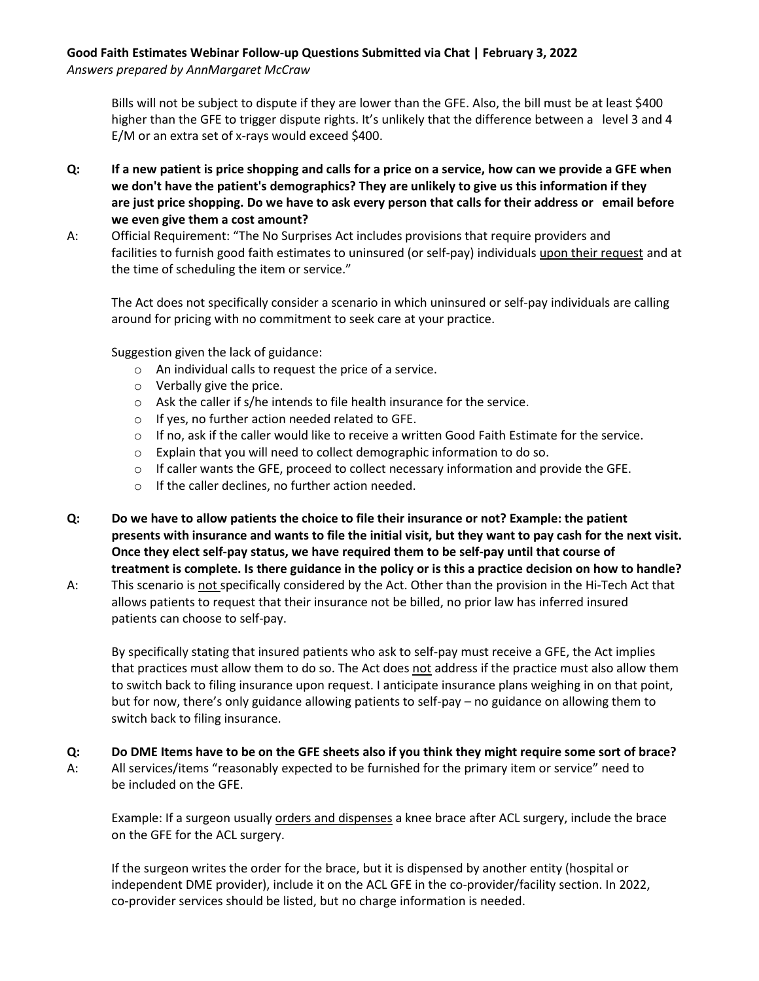# **Good Faith Estimates Webinar Follow-up Questions Submitted via Chat | February 3, 2022**

*Answers prepared by AnnMargaret McCraw* 

Bills will not be subject to dispute if they are lower than the GFE. Also, the bill must be at least \$400 higher than the GFE to trigger dispute rights. It's unlikely that the difference between a level 3 and 4 E/M or an extra set of x-rays would exceed \$400.

- **Q: If a new patient is price shopping and calls for a price on a service, how can we provide a GFE when we don't have the patient's demographics? They are unlikely to give us this information if they are just price shopping. Do we have to ask every person that calls for their address or email before we even give them a cost amount?**
- A: Official Requirement: "The No Surprises Act includes provisions that require providers and facilities to furnish good faith estimates to uninsured (or self-pay) individuals upon their request and at the time of scheduling the item or service."

The Act does not specifically consider a scenario in which uninsured or self-pay individuals are calling around for pricing with no commitment to seek care at your practice.

Suggestion given the lack of guidance:

- o An individual calls to request the price of a service.
- o Verbally give the price.
- o Ask the caller if s/he intends to file health insurance for the service.
- o If yes, no further action needed related to GFE.
- o If no, ask if the caller would like to receive a written Good Faith Estimate for the service.
- o Explain that you will need to collect demographic information to do so.
- o If caller wants the GFE, proceed to collect necessary information and provide the GFE.
- o If the caller declines, no further action needed.
- **Q: Do we have to allow patients the choice to file their insurance or not? Example: the patient presents with insurance and wants to file the initial visit, but they want to pay cash for the next visit. Once they elect self-pay status, we have required them to be self-pay until that course of treatment is complete. Is there guidance in the policy or is this a practice decision on how to handle?**
- A: This scenario is not specifically considered by the Act. Other than the provision in the Hi-Tech Act that allows patients to request that their insurance not be billed, no prior law has inferred insured patients can choose to self-pay.

By specifically stating that insured patients who ask to self-pay must receive a GFE, the Act implies that practices must allow them to do so. The Act does not address if the practice must also allow them to switch back to filing insurance upon request. I anticipate insurance plans weighing in on that point, but for now, there's only guidance allowing patients to self-pay – no guidance on allowing them to switch back to filing insurance.

**Q: Do DME Items have to be on the GFE sheets also if you think they might require some sort of brace?** A: All services/items "reasonably expected to be furnished for the primary item or service" need to be included on the GFE.

Example: If a surgeon usually orders and dispenses a knee brace after ACL surgery, include the brace on the GFE for the ACL surgery.

If the surgeon writes the order for the brace, but it is dispensed by another entity (hospital or independent DME provider), include it on the ACL GFE in the co-provider/facility section. In 2022, co-provider services should be listed, but no charge information is needed.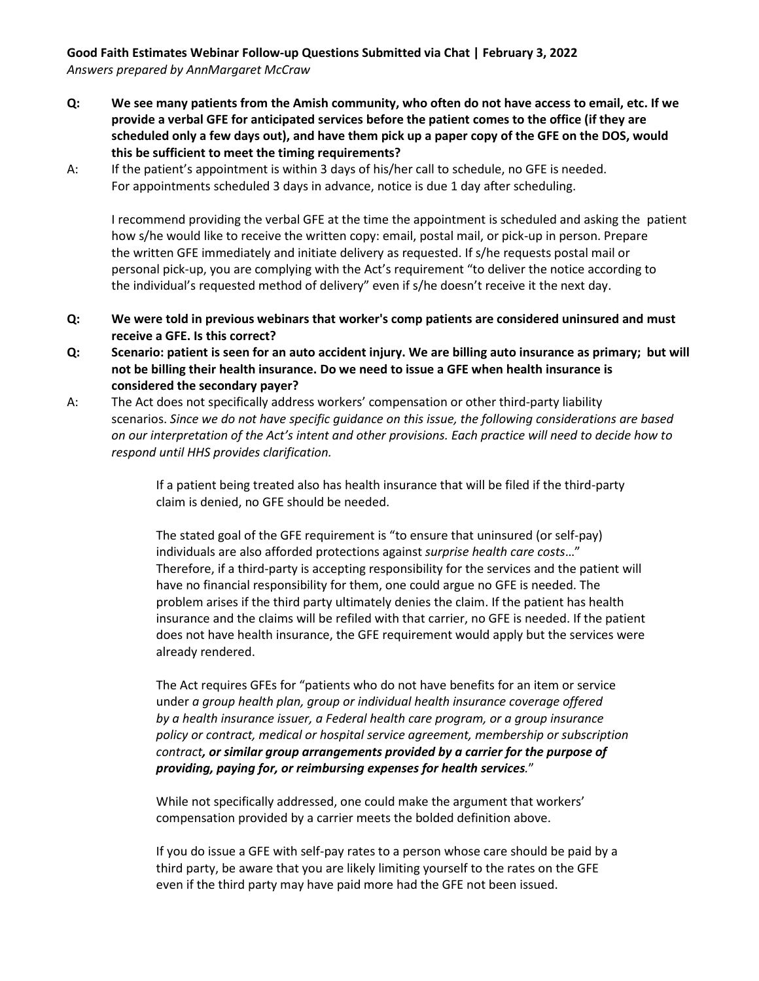## **Good Faith Estimates Webinar Follow-up Questions Submitted via Chat | February 3, 2022** *Answers prepared by AnnMargaret McCraw*

- **Q: We see many patients from the Amish community, who often do not have access to email, etc. If we provide a verbal GFE for anticipated services before the patient comes to the office (if they are scheduled only a few days out), and have them pick up a paper copy of the GFE on the DOS, would this be sufficient to meet the timing requirements?**
- A: If the patient's appointment is within 3 days of his/her call to schedule, no GFE is needed. For appointments scheduled 3 days in advance, notice is due 1 day after scheduling.

I recommend providing the verbal GFE at the time the appointment is scheduled and asking the patient how s/he would like to receive the written copy: email, postal mail, or pick-up in person. Prepare the written GFE immediately and initiate delivery as requested. If s/he requests postal mail or personal pick-up, you are complying with the Act's requirement "to deliver the notice according to the individual's requested method of delivery" even if s/he doesn't receive it the next day.

- **Q: We were told in previous webinars that worker's comp patients are considered uninsured and must receive a GFE. Is this correct?**
- **Q: Scenario: patient is seen for an auto accident injury. We are billing auto insurance as primary; but will not be billing their health insurance. Do we need to issue a GFE when health insurance is considered the secondary payer?**
- A: The Act does not specifically address workers' compensation or other third-party liability scenarios. *Since we do not have specific guidance on this issue, the following considerations are based on our interpretation of the Act's intent and other provisions. Each practice will need to decide how to respond until HHS provides clarification.*

If a patient being treated also has health insurance that will be filed if the third-party claim is denied, no GFE should be needed.

The stated goal of the GFE requirement is "to ensure that uninsured (or self-pay) individuals are also afforded protections against *surprise health care costs*…" Therefore, if a third-party is accepting responsibility for the services and the patient will have no financial responsibility for them, one could argue no GFE is needed. The problem arises if the third party ultimately denies the claim. If the patient has health insurance and the claims will be refiled with that carrier, no GFE is needed. If the patient does not have health insurance, the GFE requirement would apply but the services were already rendered.

The Act requires GFEs for "patients who do not have benefits for an item or service under *a group health plan, group or individual health insurance coverage offered by a health insurance issuer, a Federal health care program, or a group insurance policy or contract, medical or hospital service agreement, membership or subscription contract, or similar group arrangements provided by a carrier for the purpose of providing, paying for, or reimbursing expenses for health services.*"

While not specifically addressed, one could make the argument that workers' compensation provided by a carrier meets the bolded definition above.

If you do issue a GFE with self-pay rates to a person whose care should be paid by a third party, be aware that you are likely limiting yourself to the rates on the GFE even if the third party may have paid more had the GFE not been issued.